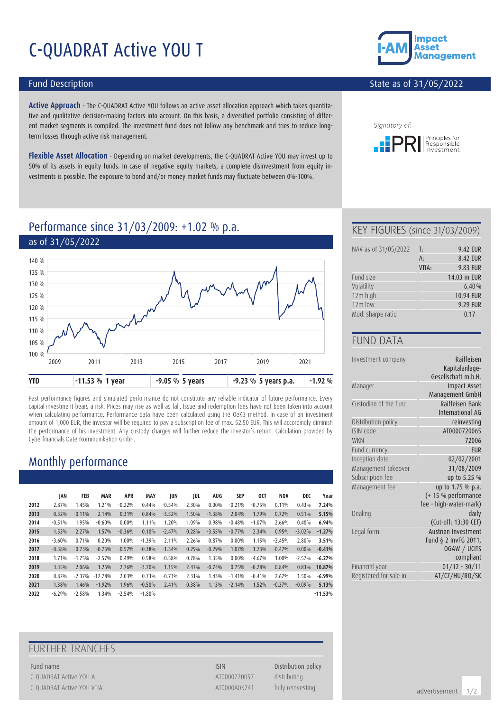# C-QUADRAT Active YOU T

#### Fund Description

**Active Approach** - The C-QUADRAT Active YOU follows an active asset allocation approach which takes quantitative and qualitative decision-making factors into account. On this basis, a diversified portfolio consisting of different market segments is compiled. The investment fund does not follow any benchmark and tries to reduce longterm losses through active risk management.

**Flexible Asset Allocation** - Depending on market developments, the C-QUADRAT Active YOU may invest up to 50% of its assets in equity funds. In case of negative equity markets, a complete disinvestment from equity investments is possible. The exposure to bond and/or money market funds may fluctuate between 0%-100%.



#### State as of 31/05/2022



# Performance since 31/03/2009: +1.02 % p.a.



Past performance figures and simulated performance do not constitute any reliable indicator of future performance. Every capital investment bears a risk. Prices may rise as well as fall. Issue and redemption fees have not been taken into account when calculating performance. Performance data have been calculated using the OeKB method. In case of an investment amount of 1,000 EUR, the investor will be required to pay a subscription fee of max. 52.50 EUR. This will accordingly diminish the performance of his investment. Any custody charges will further reduce the investor's return. Calculation provided by Cyberfinancials Datenkommunikation GmbH.

# Monthly performance

|      | JAN      | FEB      | <b>MAR</b> | <b>APR</b> | <b>MAY</b> | JUN      | JUL   | AUG      | SEP      | 0CT      | <b>NOV</b> | DEC      | Year      |
|------|----------|----------|------------|------------|------------|----------|-------|----------|----------|----------|------------|----------|-----------|
| 2012 | 2.87%    | 1.45%    | 1.21%      | $-0.22%$   | 0.44%      | $-0.54%$ | 2.30% | $0.00\%$ | $-0.21%$ | $-0.75%$ | 0.11%      | 0.43%    | 7.24%     |
| 2013 | 0.32%    | $-0.11%$ | 2.14%      | 0.31%      | 0.84%      | $-3.52%$ | 1.50% | $-1.38%$ | 2.04%    | 1.79%    | 0.72%      | 0.51%    | 5.15%     |
| 2014 | $-0.51%$ | 1.95%    | $-0.60%$   | $0.00\%$   | 1.11%      | 1.20%    | 1.09% | 0.98%    | $-0.48%$ | $-1.07%$ | 2.66%      | 0.48%    | 6.94%     |
| 2015 | 1.53%    | 2.27%    | 1.57%      | $-0.36%$   | 0.18%      | $-2.47%$ | 0.28% | $-3.55%$ | $-0.77%$ | 2.34%    | 0.95%      | $-3.02%$ | $-1.27%$  |
| 2016 | $-3.60%$ | 0.71%    | 0.20%      | 1.00%      | $-1.39%$   | 2.11%    | 2.26% | 0.87%    | $0.00\%$ | 1.15%    | $-2.45%$   | 2.80%    | 3.51%     |
| 2017 | $-0.38%$ | 0.73%    | $-0.75%$   | $-0.57%$   | $-0.38%$   | $-1.34%$ | 0.29% | $-0.29%$ | 1.07%    | 1.73%    | $-0.47%$   | $0.00\%$ | $-0.41%$  |
| 2018 | 1.71%    | $-1.75%$ | $-2.57%$   | 0.49%      | 0.58%      | $-0.58%$ | 0.78% | 1.35%    | $0.00\%$ | $-4.67%$ | 1.00%      | $-2.57%$ | $-6.27%$  |
| 2019 | 3.35%    | 2.06%    | 1.25%      | 2.76%      | $-3.70%$   | 1.15%    | 2.47% | $-0.74%$ | 0.75%    | $-0.28%$ | 0.84%      | 0.83%    | 10.87%    |
| 2020 | 0.82%    | $-2.37%$ | $-12.78%$  | 2.03%      | 0.73%      | $-0.73%$ | 2.31% | 1.43%    | $-1.41%$ | $-0.41%$ | 2.67%      | 1.50%    | $-6.99%$  |
| 2021 | 1.38%    | 1.46%    | $-1.92%$   | 1.96%      | $-0.58%$   | 2.41%    | 0.38% | 1.13%    | $-2.14%$ | 1.52%    | $-0.37%$   | $-0.09%$ | 5.13%     |
| 2022 | $-6.29%$ | $-2.58%$ | 1.34%      | $-2.54%$   | $-1.88%$   |          |       |          |          |          |            |          | $-11.53%$ |

### FURTHER TRANCHES

Fund name **ISIN** Distribution policy C-QUADRAT Active YOU A ATOO AT A ATOO AT A ATOO AT A ATOO AT A ATOO AT A ATOO AT A AT A AT A AT A AT A AT A AT A AT A AT A AT A AT A AT A AT A AT A AT A AT A AT A AT A AT A AT A AT A AT A AT A AT A AT A AT A AT A AT A AT A C-QUADRAT Active YOU VTIA and the state of the control of the AT0000A0K241 fully reinvesting

#### KEY FIGURES (since 31/03/2009)

| NAV as of 31/05/2022 | T:    | 9.42 EUR    |
|----------------------|-------|-------------|
|                      | $A$ : | 8.42 EUR    |
|                      | VTIA: | 9.83 EUR    |
| Fund size            |       | 14.03 m EUR |
| Volatility           |       | 6.40%       |
| 12m high             |       | 10.94 EUR   |
| $12m$ low            |       | 9.29 EUR    |
| Mod. sharpe ratio    |       | 0.17        |

#### FUND DATA

| Investment company     | Raiffeisen<br>Kapitalanlage-<br>Gesellschaft m.b.H. |
|------------------------|-----------------------------------------------------|
| Manager                | <b>Impact Asset</b>                                 |
|                        | Management GmbH                                     |
| Custodian of the fund  | Raiffeisen Bank<br>International AG                 |
| Distribution policy    | reinvesting                                         |
| ISIN code              | AT0000720065                                        |
| <b>WKN</b>             | 72006                                               |
| Fund currency          | <b>FUR</b>                                          |
| Inception date         | 02/02/2001                                          |
| Management takeover    | 31/08/2009                                          |
| Subscription fee       | up to 5.25 %                                        |
| Management fee         | up to 1.75 % p.a.                                   |
|                        | (+ 15 % performance                                 |
|                        | fee - high-water-mark)                              |
| Dealing                | daily                                               |
|                        | (Cut-off: 13:30 CET)                                |
| Legal form             | Austrian Investment                                 |
|                        | Fund § 2 InvFG 2011,                                |
|                        | OGAW / UCITS                                        |
|                        | compliant                                           |
| Financial year         | $01/12 - 30/11$                                     |
| Registered for sale in | AT/CZ/HU/RO/SK                                      |